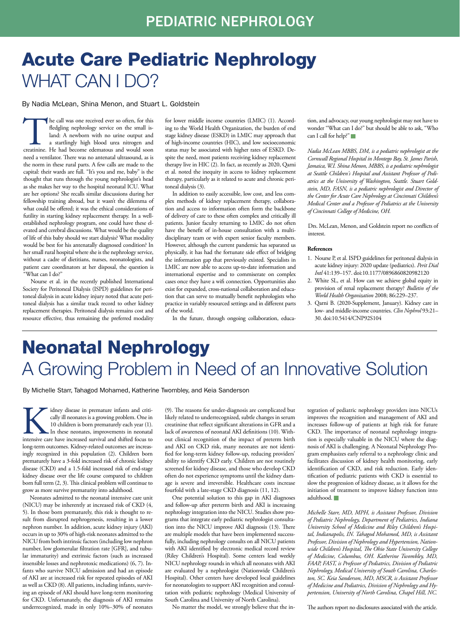## Acute Care Pediatric Nephrology WHAT CAN I DO?

By Nadia McLean, Shina Menon, and Stuart L. Goldstein

The call was one received ever so often, for this fledgling nephrology service on the small is-<br>land: A newborn with no urine output and<br>a startlingly high blood urea nitrogen and<br>creatinine. He had become edematous and wo fledgling nephrology service on the small island: A newborn with no urine output and a startlingly high blood urea nitrogen and need a ventilator. There was no antenatal ultrasound, as is the norm in these rural parts. A few calls are made to the capital: their wards are full. "It's you and me, baby" is the thought that runs through the young nephrologist's head as she makes her way to the hospital neonatal ICU. What are her options? She recalls similar discussions during her fellowship training abroad, but it wasn't the dilemma of what could be offered; it was the ethical considerations of futility in starting kidney replacement therapy. In a wellestablished nephrology program, one could have these elevated and cerebral discussions. What would be the quality of life of this baby should we start dialysis? What modality would be best for his antenatally diagnosed condition? In her small rural hospital where she is the nephrology service, without a cadre of dietitians, nurses, neonatologists, and patient care coordinators at her disposal, the question is "What can I do?"

Nourse et al. in the recently published International Society for Peritoneal Dialysis (ISPD) guidelines for peritoneal dialysis in acute kidney injury noted that acute peritoneal dialysis has a similar track record to other kidney replacement therapies. Peritoneal dialysis remains cost and resource effective, thus remaining the preferred modality

for lower middle income countries (LMIC) (1). According to the World Health Organization, the burden of end stage kidney disease (ESKD) in LMIC may approach that of high-income countries (HIC), and low socioeconomic status may be associated with higher rates of ESKD. Despite the need, most patients receiving kidney replacement therapy live in HIC (2). In fact, as recently as 2020, Qarni et al. noted the inequity in access to kidney replacement therapy, particularly as it related to acute and chronic peritoneal dialysis (3).

In addition to easily accessible, low cost, and less complex methods of kidney replacement therapy, collaboration and access to information often form the backbone of delivery of care to these often complex and critically ill patients. Junior faculty returning to LMIC do not often have the benefit of in-house consultation with a multidisciplinary team or with expert senior faculty members. However, although the current pandemic has separated us physically, it has had the fortunate side effect of bridging the information gap that previously existed. Specialists in LMIC are now able to access up-to-date information and international expertise and to commiserate on complex cases once they have a wifi connection. Opportunities also exist for expanded, cross-national collaboration and education that can serve to mutually benefit nephrologists who practice in variably resourced settings and in different parts of the world.

In the future, through ongoing collaboration, educa-

tion, and advocacy, our young nephrologist may not have to wonder "What can I do?" but should be able to ask, "Who can I call for help?"

*Nadia McLean MBBS, DM, is a pediatric nephrologist at the Cornwall Regional Hospital in Montego Bay, St. James Parish, Jamaica, W.I. Shina Menon, MBBS, is a pediatric nephrologist at Seattle Children's Hospital and Assistant Professor of Pediatrics at the University of Washington, Seattle. Stuart Goldstein, MD, FASN, is a pediatric nephrologist and Director of the Center for Acute Care Nephrology at Cincinnati Children's Medical Center and a Professor of Pediatrics at the University of Cincinnati College of Medicine, OH.*

Drs. McLean, Menon, and Goldstein report no conflicts of interest.

#### **References**

- 1. Nourse P, et al. ISPD guidelines for peritoneal dialysis in acute kidney injury: 2020 update (pediatrics). *Perit Dial Intl* 41:139–157. doi:10.1177/0896860820982120
- 2. White SL, et al. How can we achieve global equity in provision of renal replacement therapy? *Bulletin of the World Health Organization* 2008; 86:229–237.
- 3. Qarni B. (2020-Supplement, January). Kidney care in low- and middle-income countries. *Clin Nephrol* 93:21– 30. doi:10.5414/CNP92S104

# Neonatal Nephrology A Growing Problem in Need of an Innovative Solution

By Michelle Starr, Tahagod Mohamed, Katherine Twombley, and Keia Sanderson

idney disease in premature infants and critically ill neonates is a growing problem. One in 10 children is born prematurely each year (1). In these neonates, improvements in neonatal intensive care have increased survival and shifted focus to long-term outcomes. Kidney-related outcomes are increasingly recognized in this population (2). Children born prematurely have a 3-fold increased risk of chronic kidney disease (CKD) and a 1.5-fold increased risk of end-stage kidney disease over the life course compared to children born full term (2, 3). This clinical problem will continue to grow as more survive prematurity into adulthood.

Neonates admitted to the neonatal intensive care unit (NICU) may be inherently at increased risk of CKD (4, 5). In those born prematurely, this risk is thought to result from disrupted nephrogenesis, resulting in a lower nephron number. In addition, acute kidney injury (AKI) occurs in up to 30% of high-risk neonates admitted to the NICU from both intrinsic factors (including low nephron number, low glomerular filtration rate [GFR], and tubular immaturity) and extrinsic factors (such as increased insensible losses and nephrotoxic medications) (6, 7). Infants who survive NICU admission and had an episode of AKI are at increased risk for repeated episodes of AKI as well as CKD (8). All patients, including infants, surviving an episode of AKI should have long-term monitoring for CKD. Unfortunately, the diagnosis of AKI remains underrecognized, made in only 10%−30% of neonates

(9). The reasons for under-diagnosis are complicated but likely related to underrecognized, subtle changes in serum creatinine that reflect significant alterations in GFR and a lack of awareness of neonatal AKI definitions (10). Without clinical recognition of the impact of preterm birth and AKI on CKD risk, many neonates are not identified for long-term kidney follow-up, reducing providers' ability to identify CKD early. Children are not routinely screened for kidney disease, and those who develop CKD often do not experience symptoms until the kidney damage is severe and irreversible. Healthcare costs increase fourfold with a late-stage CKD diagnosis (11, 12).

One potential solution to this gap in AKI diagnoses and follow-up after preterm birth and AKI is increasing nephrology integration into the NICU. Studies show programs that integrate early pediatric nephrologist consultation into the NICU improve AKI diagnosis (13). There are multiple models that have been implemented successfully, including nephrology consults on all NICU patients with AKI identified by electronic medical record review (Riley Children's Hospital). Some centers lead weekly NICU nephrology rounds in which all neonates with AKI are evaluated by a nephrologist (Nationwide Children's Hospital). Other centers have developed local guidelines for neonatologists to support AKI recognition and consultation with pediatric nephrology (Medical University of South Carolina and University of North Carolina).

No matter the model, we strongly believe that the in-

tegration of pediatric nephrology providers into NICUs improves the recognition and management of AKI and increases follow-up of patients at high risk for future CKD. The importance of neonatal nephrology integration is especially valuable in the NICU where the diagnosis of AKI is challenging. A Neonatal Nephrology Program emphasizes early referral to a nephrology clinic and facilitates discussion of kidney health monitoring, early identification of CKD, and risk reduction. Early identification of pediatric patients with CKD is essential to slow the progression of kidney disease, as it allows for the initiation of treatment to improve kidney function into adulthood.

*Michelle Starr, MD, MPH, is Assistant Professor, Division of Pediatric Nephrology, Department of Pediatrics, Indiana University School of Medicine and Riley Children's Hospital, Indianapolis, IN. Tahagod Mohamed, MD, is Assistant Professor, Division of Nephrology and Hypertension, Nationwide Children's Hospital, The Ohio State University College of Medicine, Columbus, OH. Katherine Twombley, MD, FAAP, FAST, is Professor of Pediatrics, Division of Pediatric Nephrology, Medical University of South Carolina, Charleston, SC. Keia Sanderson, MD, MSCR, is Assistant Professor of Medicine and Pediatrics, Division of Nephrology and Hypertension, University of North Carolina, Chapel Hill, NC.*

The authors report no disclosures associated with the article.